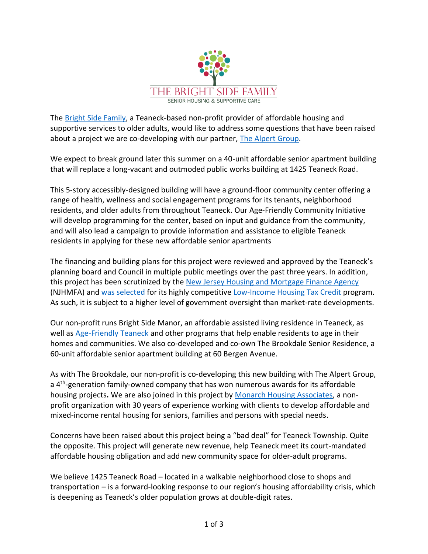

The [Bright Side Family,](https://www.thebrightsidefamily.org/) a Teaneck-based non-profit provider of affordable housing and supportive services to older adults, would like to address some questions that have been raised about a project we are co-developing with our partner, [The Alpert Group.](https://www.thealpertgroup.com/)

We expect to break ground later this summer on a 40-unit affordable senior apartment building that will replace a long-vacant and outmoded public works building at 1425 Teaneck Road.

This 5-story accessibly-designed building will have a ground-floor community center offering a range of health, wellness and social engagement programs for its tenants, neighborhood residents, and older adults from throughout Teaneck. Our Age-Friendly Community Initiative will develop programming for the center, based on input and guidance from the community, and will also lead a campaign to provide information and assistance to eligible Teaneck residents in applying for these new affordable senior apartments

The financing and building plans for this project were reviewed and approved by the Teaneck's planning board and Council in multiple public meetings over the past three years. In addition, this project has been scrutinized by the [New Jersey Housing and Mortgage Finance Agency](https://nj.gov/dca/hmfa/) (NJHMFA) and [was selected](https://www.ncsha.org/hfa-news/murphy-administration-awards-federal-tax-credits-to-incentivize-over-half-billion-in-housing-development-for-families-seniors-special-needs-residents/) for its highly competitive [Low-Income Housing Tax Credit](https://nj.gov/dca/hmfa/dca/hmfa/developers/docs/lihtc/tax/lihtc_faq_8_24_21.pdf) program. As such, it is subject to a higher level of government oversight than market-rate developments.

Our non-profit runs Bright Side Manor, an affordable assisted living residence in Teaneck, as well as [Age-Friendly Teaneck](https://www.agefriendlyteaneck.org/) and other programs that help enable residents to age in their homes and communities. We also co-developed and co-own The Brookdale Senior Residence, a 60-unit affordable senior apartment building at 60 Bergen Avenue.

As with The Brookdale, our non-profit is co-developing this new building with The Alpert Group, a 4<sup>th</sup>-generation family-owned company that has won numerous awards for its affordable housing projects**.** We are also joined in this project by [Monarch Housing Associates,](https://monarchhousing.org/) a nonprofit organization with 30 years of experience working with clients to develop affordable and mixed-income rental housing for seniors, families and persons with special needs.

Concerns have been raised about this project being a "bad deal" for Teaneck Township. Quite the opposite. This project will generate new revenue, help Teaneck meet its court-mandated affordable housing obligation and add new community space for older-adult programs.

We believe 1425 Teaneck Road – located in a walkable neighborhood close to shops and transportation – is a forward-looking response to our region's housing affordability crisis, which is deepening as Teaneck's older population grows at double-digit rates.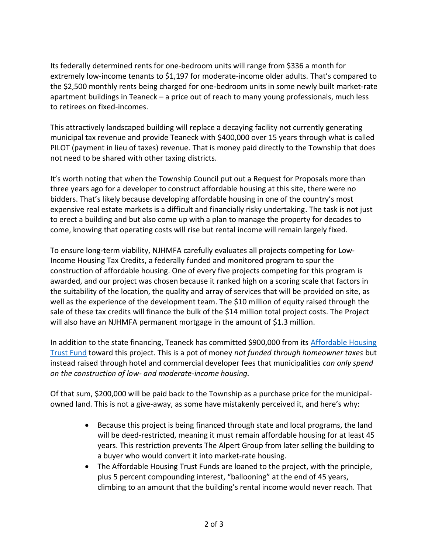Its federally determined rents for one-bedroom units will range from \$336 a month for extremely low-income tenants to \$1,197 for moderate-income older adults. That's compared to the \$2,500 monthly rents being charged for one-bedroom units in some newly built market-rate apartment buildings in Teaneck – a price out of reach to many young professionals, much less to retirees on fixed-incomes.

This attractively landscaped building will replace a decaying facility not currently generating municipal tax revenue and provide Teaneck with \$400,000 over 15 years through what is called PILOT (payment in lieu of taxes) revenue. That is money paid directly to the Township that does not need to be shared with other taxing districts.

It's worth noting that when the Township Council put out a Request for Proposals more than three years ago for a developer to construct affordable housing at this site, there were no bidders. That's likely because developing affordable housing in one of the country's most expensive real estate markets is a difficult and financially risky undertaking. The task is not just to erect a building and but also come up with a plan to manage the property for decades to come, knowing that operating costs will rise but rental income will remain largely fixed.

To ensure long-term viability, NJHMFA carefully evaluates all projects competing for Low-Income Housing Tax Credits, a federally funded and monitored program to spur the construction of affordable housing. One of every five projects competing for this program is awarded, and our project was chosen because it ranked high on a scoring scale that factors in the suitability of the location, the quality and array of services that will be provided on site, as well as the experience of the development team. The \$10 million of equity raised through the sale of these tax credits will finance the bulk of the \$14 million total project costs. The Project will also have an NJHMFA permanent mortgage in the amount of \$1.3 million.

In addition to the state financing, Teaneck has committed \$900,000 from its [Affordable Housing](https://www.nj.gov/dca/divisions/dhcr/offices/ahtf.html)  [Trust Fund](https://www.nj.gov/dca/divisions/dhcr/offices/ahtf.html) toward this project. This is a pot of money *not funded through homeowner taxes* but instead raised through hotel and commercial developer fees that municipalities *can only spend on the construction of low- and moderate-income housing.*

Of that sum, \$200,000 will be paid back to the Township as a purchase price for the municipalowned land. This is not a give-away, as some have mistakenly perceived it, and here's why:

- Because this project is being financed through state and local programs, the land will be deed-restricted, meaning it must remain affordable housing for at least 45 years. This restriction prevents The Alpert Group from later selling the building to a buyer who would convert it into market-rate housing.
- The Affordable Housing Trust Funds are loaned to the project, with the principle, plus 5 percent compounding interest, "ballooning" at the end of 45 years, climbing to an amount that the building's rental income would never reach. That